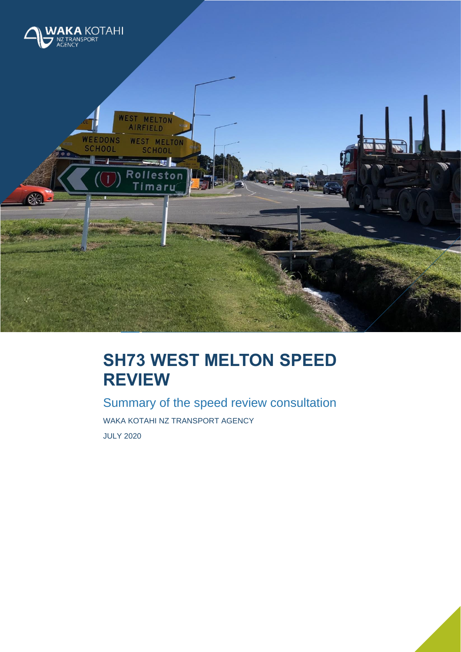

# **SH73 WEST MELTON SPEED REVIEW**

Summary of the speed review consultation WAKA KOTAHI NZ TRANSPORT AGENCY JULY 2020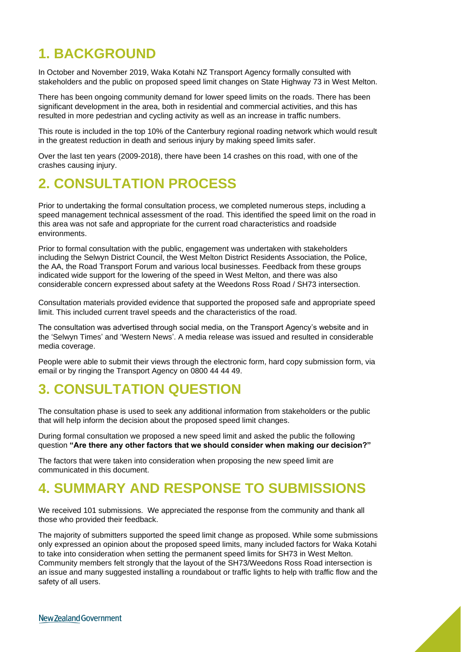## **1. BACKGROUND**

In October and November 2019, Waka Kotahi NZ Transport Agency formally consulted with stakeholders and the public on proposed speed limit changes on State Highway 73 in West Melton.

There has been ongoing community demand for lower speed limits on the roads. There has been significant development in the area, both in residential and commercial activities, and this has resulted in more pedestrian and cycling activity as well as an increase in traffic numbers.

This route is included in the top 10% of the Canterbury regional roading network which would result in the greatest reduction in death and serious injury by making speed limits safer.

Over the last ten years (2009-2018), there have been 14 crashes on this road, with one of the crashes causing injury.

# **2. CONSULTATION PROCESS**

Prior to undertaking the formal consultation process, we completed numerous steps, including a speed management technical assessment of the road. This identified the speed limit on the road in this area was not safe and appropriate for the current road characteristics and roadside environments.

Prior to formal consultation with the public, engagement was undertaken with stakeholders including the Selwyn District Council, the West Melton District Residents Association, the Police, the AA, the Road Transport Forum and various local businesses. Feedback from these groups indicated wide support for the lowering of the speed in West Melton, and there was also considerable concern expressed about safety at the Weedons Ross Road / SH73 intersection.

Consultation materials provided evidence that supported the proposed safe and appropriate speed limit. This included current travel speeds and the characteristics of the road.

The consultation was advertised through social media, on the Transport Agency's website and in the 'Selwyn Times' and 'Western News'. A media release was issued and resulted in considerable media coverage.

People were able to submit their views through the electronic form, hard copy submission form, via email or by ringing the Transport Agency on 0800 44 44 49.

# **3. CONSULTATION QUESTION**

The consultation phase is used to seek any additional information from stakeholders or the public that will help inform the decision about the proposed speed limit changes.

During formal consultation we proposed a new speed limit and asked the public the following question **"Are there any other factors that we should consider when making our decision?"**

The factors that were taken into consideration when proposing the new speed limit are communicated in this document.

### **4. SUMMARY AND RESPONSE TO SUBMISSIONS**

We received 101 submissions. We appreciated the response from the community and thank all those who provided their feedback.

The majority of submitters supported the speed limit change as proposed. While some submissions only expressed an opinion about the proposed speed limits, many included factors for Waka Kotahi to take into consideration when setting the permanent speed limits for SH73 in West Melton. Community members felt strongly that the layout of the SH73/Weedons Ross Road intersection is an issue and many suggested installing a roundabout or traffic lights to help with traffic flow and the safety of all users.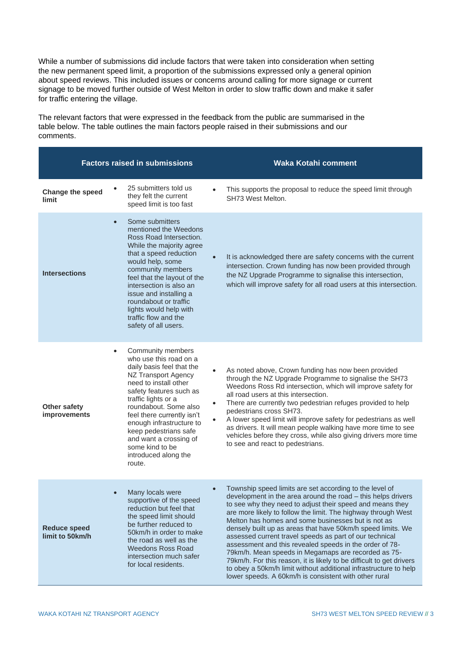While a number of submissions did include factors that were taken into consideration when setting the new permanent speed limit, a proportion of the submissions expressed only a general opinion about speed reviews. This included issues or concerns around calling for more signage or current signage to be moved further outside of West Melton in order to slow traffic down and make it safer for traffic entering the village.

The relevant factors that were expressed in the feedback from the public are summarised in the table below. The table outlines the main factors people raised in their submissions and our comments.

|                                           | <b>Factors raised in submissions</b>                                                                                                                                                                                                                                                                                                                                  |                        | <b>Waka Kotahi comment</b>                                                                                                                                                                                                                                                                                                                                                                                                                                                                                                                                                                                                                                                                                                                                   |
|-------------------------------------------|-----------------------------------------------------------------------------------------------------------------------------------------------------------------------------------------------------------------------------------------------------------------------------------------------------------------------------------------------------------------------|------------------------|--------------------------------------------------------------------------------------------------------------------------------------------------------------------------------------------------------------------------------------------------------------------------------------------------------------------------------------------------------------------------------------------------------------------------------------------------------------------------------------------------------------------------------------------------------------------------------------------------------------------------------------------------------------------------------------------------------------------------------------------------------------|
| Change the speed<br>limit                 | 25 submitters told us<br>they felt the current<br>speed limit is too fast                                                                                                                                                                                                                                                                                             |                        | This supports the proposal to reduce the speed limit through<br>SH73 West Melton.                                                                                                                                                                                                                                                                                                                                                                                                                                                                                                                                                                                                                                                                            |
| $\bullet$<br><b>Intersections</b>         | Some submitters<br>mentioned the Weedons<br>Ross Road Intersection.<br>While the majority agree<br>that a speed reduction<br>would help, some<br>community members<br>feel that the layout of the<br>intersection is also an<br>issue and installing a<br>roundabout or traffic<br>lights would help with<br>traffic flow and the<br>safety of all users.             | $\bullet$              | It is acknowledged there are safety concerns with the current<br>intersection. Crown funding has now been provided through<br>the NZ Upgrade Programme to signalise this intersection,<br>which will improve safety for all road users at this intersection.                                                                                                                                                                                                                                                                                                                                                                                                                                                                                                 |
| $\bullet$<br>Other safety<br>improvements | Community members<br>who use this road on a<br>daily basis feel that the<br>NZ Transport Agency<br>need to install other<br>safety features such as<br>traffic lights or a<br>roundabout. Some also<br>feel there currently isn't<br>enough infrastructure to<br>keep pedestrians safe<br>and want a crossing of<br>some kind to be<br>introduced along the<br>route. | $\bullet$<br>$\bullet$ | As noted above, Crown funding has now been provided<br>through the NZ Upgrade Programme to signalise the SH73<br>Weedons Ross Rd intersection, which will improve safety for<br>all road users at this intersection.<br>There are currently two pedestrian refuges provided to help<br>pedestrians cross SH73.<br>A lower speed limit will improve safety for pedestrians as well<br>as drivers. It will mean people walking have more time to see<br>vehicles before they cross, while also giving drivers more time<br>to see and react to pedestrians.                                                                                                                                                                                                    |
| <b>Reduce speed</b><br>limit to 50km/h    | Many locals were<br>supportive of the speed<br>reduction but feel that<br>the speed limit should<br>be further reduced to<br>50km/h in order to make<br>the road as well as the<br><b>Weedons Ross Road</b><br>intersection much safer<br>for local residents.                                                                                                        |                        | Township speed limits are set according to the level of<br>development in the area around the road – this helps drivers<br>to see why they need to adjust their speed and means they<br>are more likely to follow the limit. The highway through West<br>Melton has homes and some businesses but is not as<br>densely built up as areas that have 50km/h speed limits. We<br>assessed current travel speeds as part of our technical<br>assessment and this revealed speeds in the order of 78-<br>79km/h. Mean speeds in Megamaps are recorded as 75-<br>79km/h. For this reason, it is likely to be difficult to get drivers<br>to obey a 50km/h limit without additional infrastructure to help<br>lower speeds. A 60km/h is consistent with other rural |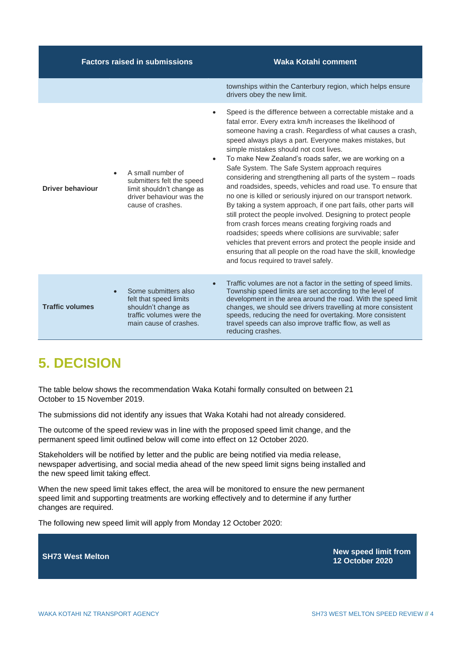| <b>Factors raised in submissions</b> |                                                                                                                              | Waka Kotahi comment                                                                                                                                                                                                                                                                                                                                                                                                                                                                                                                                                                                                                                                                                                                                                                                                                                                                                                                                                                                                                                                         |
|--------------------------------------|------------------------------------------------------------------------------------------------------------------------------|-----------------------------------------------------------------------------------------------------------------------------------------------------------------------------------------------------------------------------------------------------------------------------------------------------------------------------------------------------------------------------------------------------------------------------------------------------------------------------------------------------------------------------------------------------------------------------------------------------------------------------------------------------------------------------------------------------------------------------------------------------------------------------------------------------------------------------------------------------------------------------------------------------------------------------------------------------------------------------------------------------------------------------------------------------------------------------|
|                                      |                                                                                                                              | townships within the Canterbury region, which helps ensure<br>drivers obey the new limit.                                                                                                                                                                                                                                                                                                                                                                                                                                                                                                                                                                                                                                                                                                                                                                                                                                                                                                                                                                                   |
| $\bullet$<br><b>Driver behaviour</b> | A small number of<br>submitters felt the speed<br>limit shouldn't change as<br>driver behaviour was the<br>cause of crashes. | Speed is the difference between a correctable mistake and a<br>$\bullet$<br>fatal error. Every extra km/h increases the likelihood of<br>someone having a crash. Regardless of what causes a crash,<br>speed always plays a part. Everyone makes mistakes, but<br>simple mistakes should not cost lives.<br>To make New Zealand's roads safer, we are working on a<br>$\bullet$<br>Safe System. The Safe System approach requires<br>considering and strengthening all parts of the system - roads<br>and roadsides, speeds, vehicles and road use. To ensure that<br>no one is killed or seriously injured on our transport network.<br>By taking a system approach, if one part fails, other parts will<br>still protect the people involved. Designing to protect people<br>from crash forces means creating forgiving roads and<br>roadsides; speeds where collisions are survivable; safer<br>vehicles that prevent errors and protect the people inside and<br>ensuring that all people on the road have the skill, knowledge<br>and focus required to travel safely. |
| <b>Traffic volumes</b>               | Some submitters also<br>felt that speed limits<br>shouldn't change as<br>traffic volumes were the<br>main cause of crashes.  | Traffic volumes are not a factor in the setting of speed limits.<br>$\bullet$<br>Township speed limits are set according to the level of<br>development in the area around the road. With the speed limit<br>changes, we should see drivers travelling at more consistent<br>speeds, reducing the need for overtaking. More consistent<br>travel speeds can also improve traffic flow, as well as<br>reducing crashes.                                                                                                                                                                                                                                                                                                                                                                                                                                                                                                                                                                                                                                                      |

# **5. DECISION**

The table below shows the recommendation Waka Kotahi formally consulted on between 21 October to 15 November 2019.

The submissions did not identify any issues that Waka Kotahi had not already considered.

The outcome of the speed review was in line with the proposed speed limit change, and the permanent speed limit outlined below will come into effect on 12 October 2020.

Stakeholders will be notified by letter and the public are being notified via media release, newspaper advertising, and social media ahead of the new speed limit signs being installed and the new speed limit taking effect.

When the new speed limit takes effect, the area will be monitored to ensure the new permanent speed limit and supporting treatments are working effectively and to determine if any further changes are required.

The following new speed limit will apply from Monday 12 October 2020:

**SH73 West Melton New speed limit from 12 October 2020**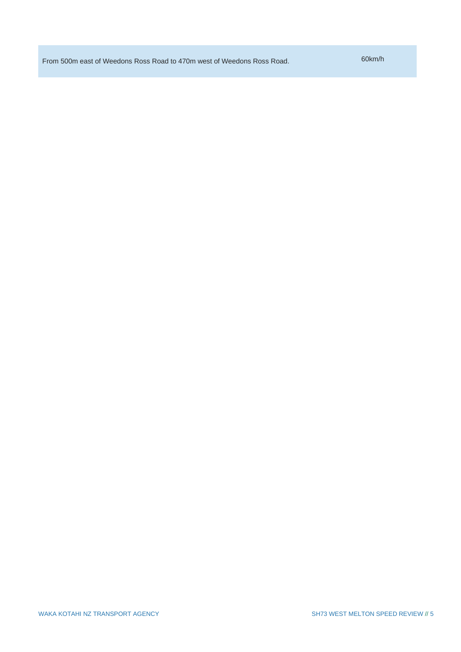From 500m east of Weedons Ross Road to 470m west of Weedons Ross Road. 60km/h